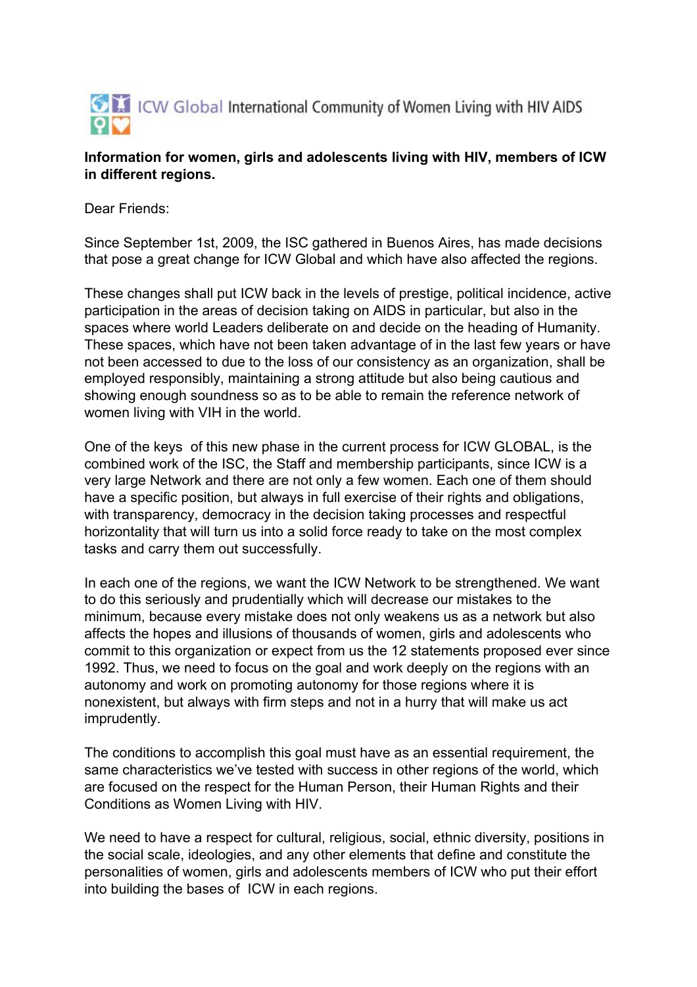

## **Information for women, girls and adolescents living with HIV, members of ICW in different regions.**

Dear Friends:

Since September 1st, 2009, the ISC gathered in Buenos Aires, has made decisions that pose a great change for ICW Global and which have also affected the regions.

These changes shall put ICW back in the levels of prestige, political incidence, active participation in the areas of decision taking on AIDS in particular, but also in the spaces where world Leaders deliberate on and decide on the heading of Humanity. These spaces, which have not been taken advantage of in the last few years or have not been accessed to due to the loss of our consistency as an organization, shall be employed responsibly, maintaining a strong attitude but also being cautious and showing enough soundness so as to be able to remain the reference network of women living with VIH in the world.

One of the keys of this new phase in the current process for ICW GLOBAL, is the combined work of the ISC, the Staff and membership participants, since ICW is a very large Network and there are not only a few women. Each one of them should have a specific position, but always in full exercise of their rights and obligations, with transparency, democracy in the decision taking processes and respectful horizontality that will turn us into a solid force ready to take on the most complex tasks and carry them out successfully.

In each one of the regions, we want the ICW Network to be strengthened. We want to do this seriously and prudentially which will decrease our mistakes to the minimum, because every mistake does not only weakens us as a network but also affects the hopes and illusions of thousands of women, girls and adolescents who commit to this organization or expect from us the 12 statements proposed ever since 1992. Thus, we need to focus on the goal and work deeply on the regions with an autonomy and work on promoting autonomy for those regions where it is nonexistent, but always with firm steps and not in a hurry that will make us act imprudently.

The conditions to accomplish this goal must have as an essential requirement, the same characteristics we've tested with success in other regions of the world, which are focused on the respect for the Human Person, their Human Rights and their Conditions as Women Living with HIV.

We need to have a respect for cultural, religious, social, ethnic diversity, positions in the social scale, ideologies, and any other elements that define and constitute the personalities of women, girls and adolescents members of ICW who put their effort into building the bases of ICW in each regions.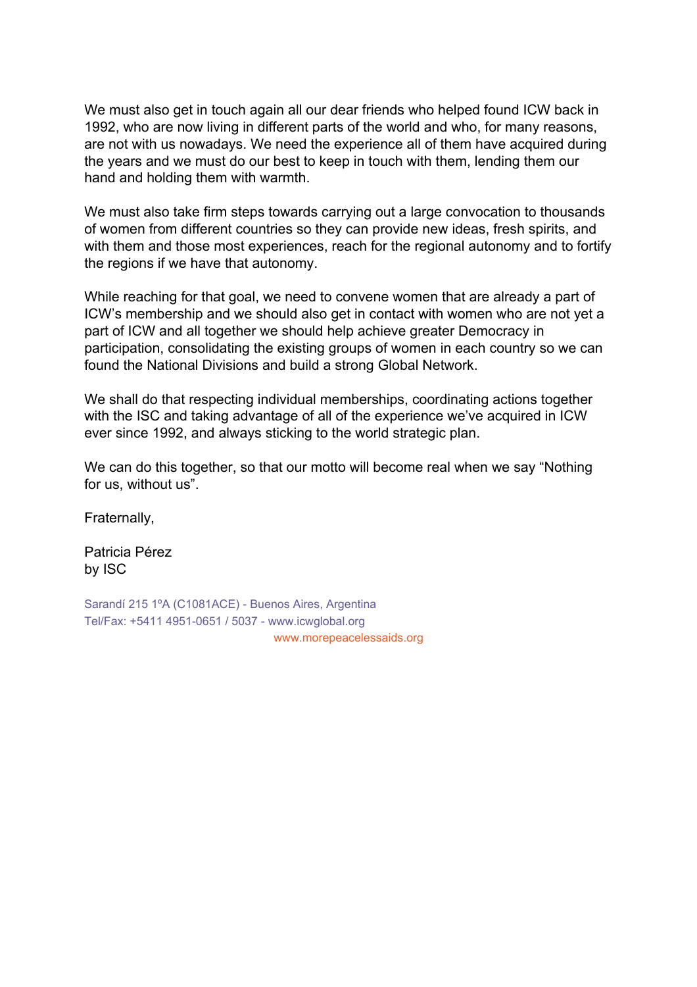We must also get in touch again all our dear friends who helped found ICW back in 1992, who are now living in different parts of the world and who, for many reasons, are not with us nowadays. We need the experience all of them have acquired during the years and we must do our best to keep in touch with them, lending them our hand and holding them with warmth.

We must also take firm steps towards carrying out a large convocation to thousands of women from different countries so they can provide new ideas, fresh spirits, and with them and those most experiences, reach for the regional autonomy and to fortify the regions if we have that autonomy.

While reaching for that goal, we need to convene women that are already a part of ICW's membership and we should also get in contact with women who are not yet a part of ICW and all together we should help achieve greater Democracy in participation, consolidating the existing groups of women in each country so we can found the National Divisions and build a strong Global Network.

We shall do that respecting individual memberships, coordinating actions together with the ISC and taking advantage of all of the experience we've acquired in ICW ever since 1992, and always sticking to the world strategic plan.

We can do this together, so that our motto will become real when we say "Nothing for us, without us".

Fraternally,

Patricia Pérez by ISC

Sarandí 215 1ºA (C1081ACE) - Buenos Aires, Argentina Tel/Fax: +5411 4951-0651 / 5037 - www.icwglobal.org www.morepeacelessaids.org